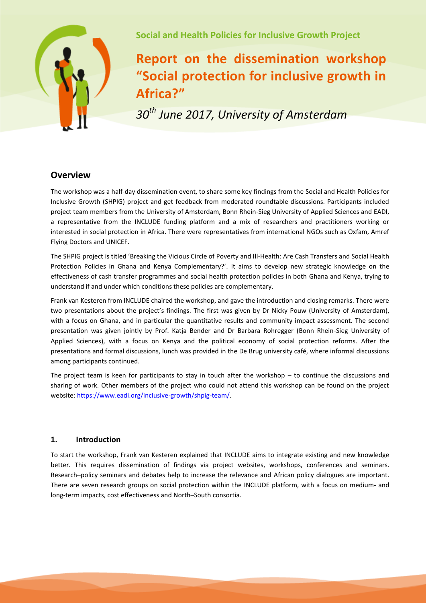

**Social and Health Policies for Inclusive Growth Project**

# **Report on the dissemination workshop "Social protection for inclusive growth in Africa?"**

*30th June 2017, University of Amsterdam* 

## **Overview**

The workshop was a half-day dissemination event, to share some key findings from the Social and Health Policies for Inclusive Growth (SHPIG) project and get feedback from moderated roundtable discussions. Participants included project team members from the University of Amsterdam, Bonn Rhein-Sieg University of Applied Sciences and EADI, a representative from the INCLUDE funding platform and a mix of researchers and practitioners working or interested in social protection in Africa. There were representatives from international NGOs such as Oxfam, Amref Flying Doctors and UNICEF.

The SHPIG project is titled 'Breaking the Vicious Circle of Poverty and Ill-Health: Are Cash Transfers and Social Health Protection Policies in Ghana and Kenya Complementary?'. It aims to develop new strategic knowledge on the effectiveness of cash transfer programmes and social health protection policies in both Ghana and Kenya, trying to understand if and under which conditions these policies are complementary.

Frank van Kesteren from INCLUDE chaired the workshop, and gave the introduction and closing remarks. There were two presentations about the project's findings. The first was given by Dr Nicky Pouw (University of Amsterdam), with a focus on Ghana, and in particular the quantitative results and community impact assessment. The second presentation was given jointly by Prof. Katja Bender and Dr Barbara Rohregger (Bonn Rhein-Sieg University of Applied Sciences), with a focus on Kenya and the political economy of social protection reforms. After the presentations and formal discussions, lunch was provided in the De Brug university café, where informal discussions among participants continued.

The project team is keen for participants to stay in touch after the workshop – to continue the discussions and sharing of work. Other members of the project who could not attend this workshop can be found on the project website: [https://www.eadi.org/inclusive-growth/shpig-team/.](https://www.eadi.org/inclusive-growth/shpig-team/)

### **1. Introduction**

To start the workshop, Frank van Kesteren explained that INCLUDE aims to integrate existing and new knowledge better. This requires dissemination of findings via project websites, workshops, conferences and seminars. Research–policy seminars and debates help to increase the relevance and African policy dialogues are important. There are seven research groups on social protection within the INCLUDE platform, with a focus on medium- and long-term impacts, cost effectiveness and North–South consortia.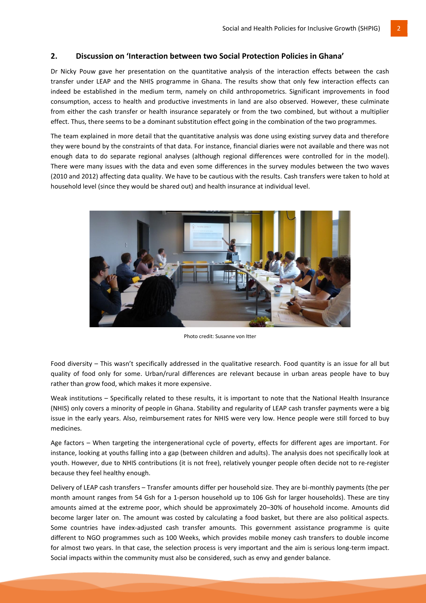#### **2. Discussion on 'Interaction between two Social Protection Policies in Ghana'**

Dr Nicky Pouw gave her presentation on the quantitative analysis of the interaction effects between the cash transfer under LEAP and the NHIS programme in Ghana. The results show that only few interaction effects can indeed be established in the medium term, namely on child anthropometrics. Significant improvements in food consumption, access to health and productive investments in land are also observed. However, these culminate from either the cash transfer or health insurance separately or from the two combined, but without a multiplier effect. Thus, there seems to be a dominant substitution effect going in the combination of the two programmes.

The team explained in more detail that the quantitative analysis was done using existing survey data and therefore they were bound by the constraints of that data. For instance, financial diaries were not available and there was not enough data to do separate regional analyses (although regional differences were controlled for in the model). There were many issues with the data and even some differences in the survey modules between the two waves (2010 and 2012) affecting data quality. We have to be cautious with the results. Cash transfers were taken to hold at household level (since they would be shared out) and health insurance at individual level.



Photo credit: Susanne von Itter

Food diversity – This wasn't specifically addressed in the qualitative research. Food quantity is an issue for all but quality of food only for some. Urban/rural differences are relevant because in urban areas people have to buy rather than grow food, which makes it more expensive.

Weak institutions – Specifically related to these results, it is important to note that the National Health Insurance (NHIS) only covers a minority of people in Ghana. Stability and regularity of LEAP cash transfer payments were a big issue in the early years. Also, reimbursement rates for NHIS were very low. Hence people were still forced to buy medicines.

Age factors – When targeting the intergenerational cycle of poverty, effects for different ages are important. For instance, looking at youths falling into a gap (between children and adults). The analysis does not specifically look at youth. However, due to NHIS contributions (it is not free), relatively younger people often decide not to re-register because they feel healthy enough.

Delivery of LEAP cash transfers – Transfer amounts differ per household size. They are bi-monthly payments (the per month amount ranges from 54 Gsh for a 1-person household up to 106 Gsh for larger households). These are tiny amounts aimed at the extreme poor, which should be approximately 20–30% of household income. Amounts did become larger later on. The amount was costed by calculating a food basket, but there are also political aspects. Some countries have index-adjusted cash transfer amounts. This government assistance programme is quite different to NGO programmes such as 100 Weeks, which provides mobile money cash transfers to double income for almost two years. In that case, the selection process is very important and the aim is serious long-term impact. Social impacts within the community must also be considered, such as envy and gender balance.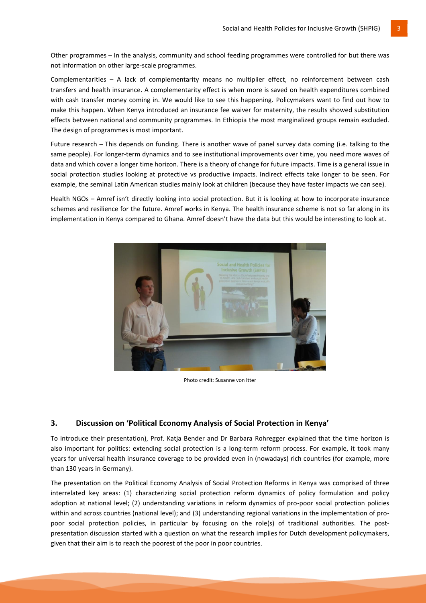Other programmes – In the analysis, community and school feeding programmes were controlled for but there was not information on other large-scale programmes.

Complementarities – A lack of complementarity means no multiplier effect, no reinforcement between cash transfers and health insurance. A complementarity effect is when more is saved on health expenditures combined with cash transfer money coming in. We would like to see this happening. Policymakers want to find out how to make this happen. When Kenya introduced an insurance fee waiver for maternity, the results showed substitution effects between national and community programmes. In Ethiopia the most marginalized groups remain excluded. The design of programmes is most important.

Future research – This depends on funding. There is another wave of panel survey data coming (i.e. talking to the same people). For longer-term dynamics and to see institutional improvements over time, you need more waves of data and which cover a longer time horizon. There is a theory of change for future impacts. Time is a general issue in social protection studies looking at protective vs productive impacts. Indirect effects take longer to be seen. For example, the seminal Latin American studies mainly look at children (because they have faster impacts we can see).

Health NGOs – Amref isn't directly looking into social protection. But it is looking at how to incorporate insurance schemes and resilience for the future. Amref works in Kenya. The health insurance scheme is not so far along in its implementation in Kenya compared to Ghana. Amref doesn't have the data but this would be interesting to look at.



Photo credit: Susanne von Itter

#### **3. Discussion on 'Political Economy Analysis of Social Protection in Kenya'**

To introduce their presentation), Prof. Katja Bender and Dr Barbara Rohregger explained that the time horizon is also important for politics: extending social protection is a long-term reform process. For example, it took many years for universal health insurance coverage to be provided even in (nowadays) rich countries (for example, more than 130 years in Germany).

The presentation on the Political Economy Analysis of Social Protection Reforms in Kenya was comprised of three interrelated key areas: (1) characterizing social protection reform dynamics of policy formulation and policy adoption at national level; (2) understanding variations in reform dynamics of pro-poor social protection policies within and across countries (national level); and (3) understanding regional variations in the implementation of propoor social protection policies, in particular by focusing on the role(s) of traditional authorities. The postpresentation discussion started with a question on what the research implies for Dutch development policymakers, given that their aim is to reach the poorest of the poor in poor countries.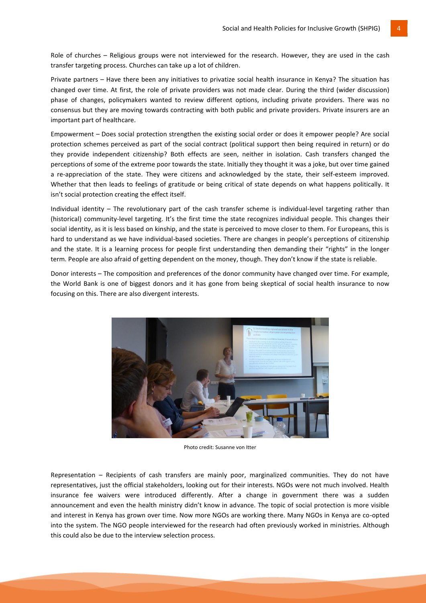Role of churches – Religious groups were not interviewed for the research. However, they are used in the cash transfer targeting process. Churches can take up a lot of children.

Private partners – Have there been any initiatives to privatize social health insurance in Kenya? The situation has changed over time. At first, the role of private providers was not made clear. During the third (wider discussion) phase of changes, policymakers wanted to review different options, including private providers. There was no consensus but they are moving towards contracting with both public and private providers. Private insurers are an important part of healthcare.

Empowerment – Does social protection strengthen the existing social order or does it empower people? Are social protection schemes perceived as part of the social contract (political support then being required in return) or do they provide independent citizenship? Both effects are seen, neither in isolation. Cash transfers changed the perceptions of some of the extreme poor towards the state. Initially they thought it was a joke, but over time gained a re-appreciation of the state. They were citizens and acknowledged by the state, their self-esteem improved. Whether that then leads to feelings of gratitude or being critical of state depends on what happens politically. It isn't social protection creating the effect itself.

Individual identity – The revolutionary part of the cash transfer scheme is individual-level targeting rather than (historical) community-level targeting. It's the first time the state recognizes individual people. This changes their social identity, as it is less based on kinship, and the state is perceived to move closer to them. For Europeans, this is hard to understand as we have individual-based societies. There are changes in people's perceptions of citizenship and the state. It is a learning process for people first understanding then demanding their "rights" in the longer term. People are also afraid of getting dependent on the money, though. They don't know if the state is reliable.

Donor interests – The composition and preferences of the donor community have changed over time. For example, the World Bank is one of biggest donors and it has gone from being skeptical of social health insurance to now focusing on this. There are also divergent interests.



Photo credit: Susanne von Itter

Representation – Recipients of cash transfers are mainly poor, marginalized communities. They do not have representatives, just the official stakeholders, looking out for their interests. NGOs were not much involved. Health insurance fee waivers were introduced differently. After a change in government there was a sudden announcement and even the health ministry didn't know in advance. The topic of social protection is more visible and interest in Kenya has grown over time. Now more NGOs are working there. Many NGOs in Kenya are co-opted into the system. The NGO people interviewed for the research had often previously worked in ministries. Although this could also be due to the interview selection process.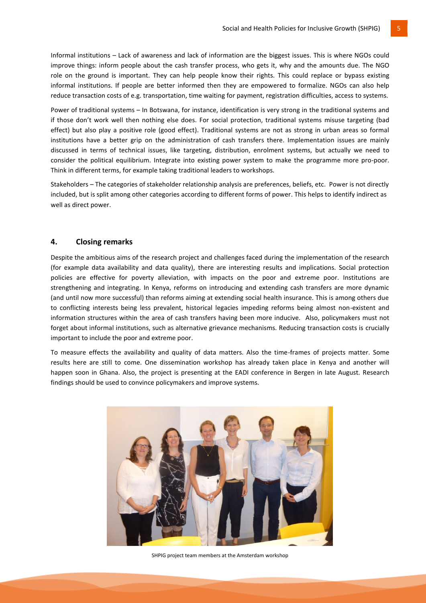Informal institutions – Lack of awareness and lack of information are the biggest issues. This is where NGOs could improve things: inform people about the cash transfer process, who gets it, why and the amounts due. The NGO role on the ground is important. They can help people know their rights. This could replace or bypass existing informal institutions. If people are better informed then they are empowered to formalize. NGOs can also help reduce transaction costs of e.g. transportation, time waiting for payment, registration difficulties, access to systems.

Power of traditional systems – In Botswana, for instance, identification is very strong in the traditional systems and if those don't work well then nothing else does. For social protection, traditional systems misuse targeting (bad effect) but also play a positive role (good effect). Traditional systems are not as strong in urban areas so formal institutions have a better grip on the administration of cash transfers there. Implementation issues are mainly discussed in terms of technical issues, like targeting, distribution, enrolment systems, but actually we need to consider the political equilibrium. Integrate into existing power system to make the programme more pro-poor. Think in different terms, for example taking traditional leaders to workshops.

Stakeholders – The categories of stakeholder relationship analysis are preferences, beliefs, etc. Power is not directly included, but is split among other categories according to different forms of power. This helps to identify indirect as well as direct power.

#### **4. Closing remarks**

Despite the ambitious aims of the research project and challenges faced during the implementation of the research (for example data availability and data quality), there are interesting results and implications. Social protection policies are effective for poverty alleviation, with impacts on the poor and extreme poor. Institutions are strengthening and integrating. In Kenya, reforms on introducing and extending cash transfers are more dynamic (and until now more successful) than reforms aiming at extending social health insurance. This is among others due to conflicting interests being less prevalent, historical legacies impeding reforms being almost non-existent and information structures within the area of cash transfers having been more inducive. Also, policymakers must not forget about informal institutions, such as alternative grievance mechanisms. Reducing transaction costs is crucially important to include the poor and extreme poor.

To measure effects the availability and quality of data matters. Also the time-frames of projects matter. Some results here are still to come. One dissemination workshop has already taken place in Kenya and another will happen soon in Ghana. Also, the project is presenting at the EADI conference in Bergen in late August. Research findings should be used to convince policymakers and improve systems.



SHPIG project team members at the Amsterdam workshop